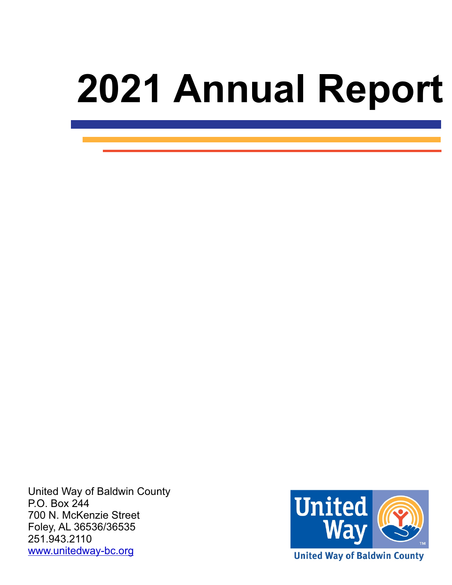# **2021 Annual Report**

 United Way of Baldwin County P.O. Box 244 700 N. McKenzie Street Foley, AL 36536/36535 251.943.2110 [www.unitedway-bc.org](http://www.unitedway-bc.org)



**United Way of Baldwin County**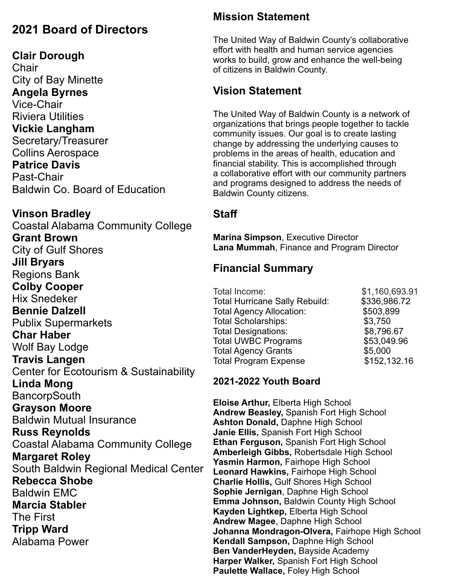#### **2021 Board of Directors**

#### **Clair Dorough**

**Chair** City of Bay Minette **Angela Byrnes** Vice-Chair Riviera Utilities **Vickie Langham**  Secretary/Treasurer Collins Aerospace **Patrice Davis** Past-Chair Baldwin Co. Board of Education

#### **Vinson Bradley**

Coastal Alabama Community College **Grant Brown** City of Gulf Shores **Jill Bryars** Regions Bank **Colby Cooper** Hix Snedeker **Bennie Dalzell** Publix Supermarkets **Char Haber** Wolf Bay Lodge **Travis Langen** Center for Ecotourism & Sustainability **Linda Mong BancorpSouth Grayson Moore** Baldwin Mutual Insurance **Russ Reynolds** Coastal Alabama Community College **Margaret Roley** South Baldwin Regional Medical Center **Rebecca Shobe** Baldwin EMC **Marcia Stabler** The First **Tripp Ward** Alabama Power

#### **Mission Statement**

The United Way of Baldwin County's collaborative effort with health and human service agencies works to build, grow and enhance the well-being of citizens in Baldwin County.

#### **Vision Statement**

The United Way of Baldwin County is a network of organizations that brings people together to tackle community issues. Our goal is to create lasting change by addressing the underlying causes to problems in the areas of health, education and financial stability. This is accomplished through a collaborative effort with our community partners and programs designed to address the needs of Baldwin County citizens.

#### **Staff**

**Marina Simpson**, Executive Director **Lana Mummah**, Finance and Program Director

#### **Financial Summary**

| Total Income:<br><b>Total Hurricane Sally Rebuild:</b> | \$1,160,693.91<br>\$336,986.72 |
|--------------------------------------------------------|--------------------------------|
| <b>Total Agency Allocation:</b>                        | \$503,899                      |
| <b>Total Scholarships:</b>                             | \$3,750                        |
| <b>Total Designations:</b>                             | \$8,796.67                     |
| <b>Total UWBC Programs</b>                             | \$53,049.96                    |
| <b>Total Agency Grants</b>                             | \$5,000                        |
| <b>Total Program Expense</b>                           | \$152,132.16                   |
|                                                        |                                |

#### **2021-2022 Youth Board**

**Eloise Arthur,** Elberta High School **Andrew Beasley,** Spanish Fort High School **Ashton Donald,** Daphne High School **Janie Ellis,** Spanish Fort High School **Ethan Ferguson,** Spanish Fort High School **Amberleigh Gibbs,** Robertsdale High School **Yasmin Harmon,** Fairhope High School **Leonard Hawkins,** Fairhope High School **Charlie Hollis,** Gulf Shores High School **Sophie Jernigan**, Daphne High School **Emma Johnson,** Baldwin County High School **Kayden Lightkep,** Elberta High School **Andrew Magee**, Daphne High School **Johanna Mondragon-Olvera,** Fairhope High School **Kendall Sampson,** Daphne High School **Ben VanderHeyden,** Bayside Academy **Harper Walker,** Spanish Fort High School **Paulette Wallace,** Foley High School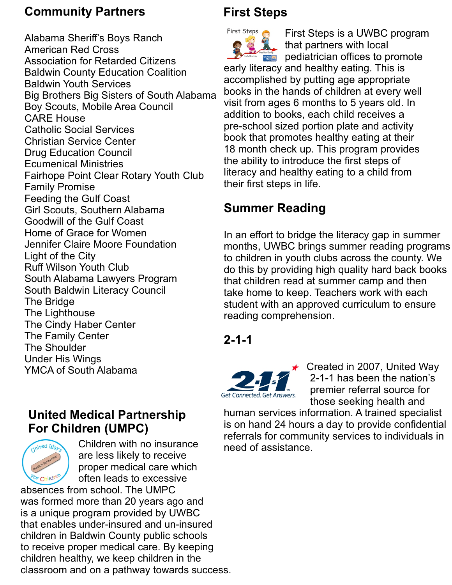#### **Community Partners**

Alabama Sheriff's Boys Ranch American Red Cross Association for Retarded Citizens Baldwin County Education Coalition Baldwin Youth Services Big Brothers Big Sisters of South Alabama Boy Scouts, Mobile Area Council CARE House Catholic Social Services Christian Service Center Drug Education Council Ecumenical Ministries Fairhope Point Clear Rotary Youth Club Family Promise Feeding the Gulf Coast Girl Scouts, Southern Alabama Goodwill of the Gulf Coast Home of Grace for Women Jennifer Claire Moore Foundation Light of the City Ruff Wilson Youth Club South Alabama Lawyers Program South Baldwin Literacy Council The Bridge The Lighthouse The Cindy Haber Center The Family Center The Shoulder Under His Wings YMCA of South Alabama

#### **United Medical Partnership For Children (UMPC)**



Children with no insurance are less likely to receive proper medical care which often leads to excessive

absences from school. The UMPC was formed more than 20 years ago and is a unique program provided by UWBC that enables under-insured and un-insured children in Baldwin County public schools to receive proper medical care. By keeping children healthy, we keep children in the classroom and on a pathway towards success.

#### **First Steps**

First Steps First Steps is a UWBC program that partners with local **Formula** pediatrician offices to promote early literacy and healthy eating. This is accomplished by putting age appropriate books in the hands of children at every well visit from ages 6 months to 5 years old. In addition to books, each child receives a pre-school sized portion plate and activity book that promotes healthy eating at their 18 month check up. This program provides the ability to introduce the first steps of literacy and healthy eating to a child from their first steps in life.

#### **Summer Reading**

In an effort to bridge the literacy gap in summer months, UWBC brings summer reading programs to children in youth clubs across the county. We do this by providing high quality hard back books that children read at summer camp and then take home to keep. Teachers work with each student with an approved curriculum to ensure reading comprehension.

#### **2-1-1**



Created in 2007, United Way 2-1-1 has been the nation's Get Connected. Get Answers. premier referral source for those seeking health and

human services information. A trained specialist is on hand 24 hours a day to provide confidential referrals for community services to individuals in need of assistance.